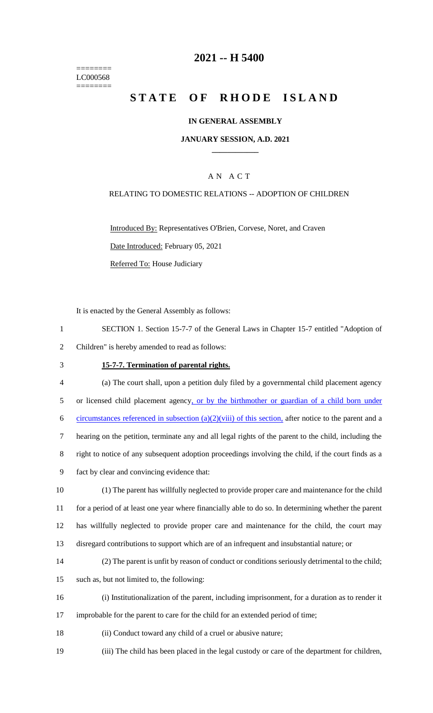======== LC000568  $=$ 

# **2021 -- H 5400**

# **STATE OF RHODE ISLAND**

#### **IN GENERAL ASSEMBLY**

#### **JANUARY SESSION, A.D. 2021 \_\_\_\_\_\_\_\_\_\_\_\_**

## A N A C T

#### RELATING TO DOMESTIC RELATIONS -- ADOPTION OF CHILDREN

Introduced By: Representatives O'Brien, Corvese, Noret, and Craven Date Introduced: February 05, 2021 Referred To: House Judiciary

It is enacted by the General Assembly as follows:

- 1 SECTION 1. Section 15-7-7 of the General Laws in Chapter 15-7 entitled "Adoption of 2 Children" is hereby amended to read as follows:
- 

## 3 **15-7-7. Termination of parental rights.**

| $\overline{4}$ | (a) The court shall, upon a petition duly filed by a governmental child placement agency                |
|----------------|---------------------------------------------------------------------------------------------------------|
| 5              | or licensed child placement agency, or by the birthmother or guardian of a child born under             |
| 6              | circumstances referenced in subsection $(a)(2)(viii)$ of this section, after notice to the parent and a |
| $\tau$         | hearing on the petition, terminate any and all legal rights of the parent to the child, including the   |
| 8              | right to notice of any subsequent adoption proceedings involving the child, if the court finds as a     |
| 9              | fact by clear and convincing evidence that:                                                             |
| 10             | (1) The parent has willfully neglected to provide proper care and maintenance for the child             |
| 11             | for a period of at least one year where financially able to do so. In determining whether the parent    |
| 12             | has willfully neglected to provide proper care and maintenance for the child, the court may             |
| 13             | disregard contributions to support which are of an infrequent and insubstantial nature; or              |
| 14             | (2) The parent is unfit by reason of conduct or conditions seriously detrimental to the child;          |
| 15             | such as, but not limited to, the following:                                                             |
| 16             | (i) Institutionalization of the parent, including imprisonment, for a duration as to render it          |
| 17             | improbable for the parent to care for the child for an extended period of time;                         |

- 18 (ii) Conduct toward any child of a cruel or abusive nature;
- 19 (iii) The child has been placed in the legal custody or care of the department for children,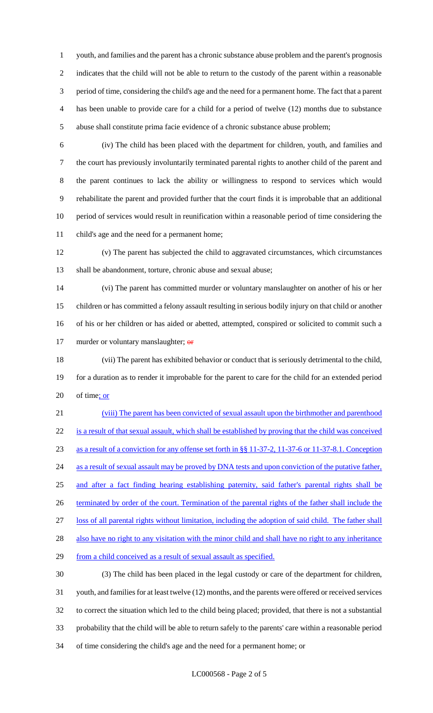youth, and families and the parent has a chronic substance abuse problem and the parent's prognosis indicates that the child will not be able to return to the custody of the parent within a reasonable period of time, considering the child's age and the need for a permanent home. The fact that a parent has been unable to provide care for a child for a period of twelve (12) months due to substance abuse shall constitute prima facie evidence of a chronic substance abuse problem;

 (iv) The child has been placed with the department for children, youth, and families and the court has previously involuntarily terminated parental rights to another child of the parent and the parent continues to lack the ability or willingness to respond to services which would rehabilitate the parent and provided further that the court finds it is improbable that an additional period of services would result in reunification within a reasonable period of time considering the child's age and the need for a permanent home;

 (v) The parent has subjected the child to aggravated circumstances, which circumstances 13 shall be abandonment, torture, chronic abuse and sexual abuse;

 (vi) The parent has committed murder or voluntary manslaughter on another of his or her children or has committed a felony assault resulting in serious bodily injury on that child or another of his or her children or has aided or abetted, attempted, conspired or solicited to commit such a 17 murder or voluntary manslaughter; or

 (vii) The parent has exhibited behavior or conduct that is seriously detrimental to the child, for a duration as to render it improbable for the parent to care for the child for an extended period of time; or

 (viii) The parent has been convicted of sexual assault upon the birthmother and parenthood is a result of that sexual assault, which shall be established by proving that the child was conceived as a result of a conviction for any offense set forth in §§ 11-37-2, 11-37-6 or 11-37-8.1. Conception 24 as a result of sexual assault may be proved by DNA tests and upon conviction of the putative father, and after a fact finding hearing establishing paternity, said father's parental rights shall be 26 terminated by order of the court. Termination of the parental rights of the father shall include the loss of all parental rights without limitation, including the adoption of said child. The father shall 28 also have no right to any visitation with the minor child and shall have no right to any inheritance 29 from a child conceived as a result of sexual assault as specified. (3) The child has been placed in the legal custody or care of the department for children,

 youth, and families for at least twelve (12) months, and the parents were offered or received services to correct the situation which led to the child being placed; provided, that there is not a substantial probability that the child will be able to return safely to the parents' care within a reasonable period of time considering the child's age and the need for a permanent home; or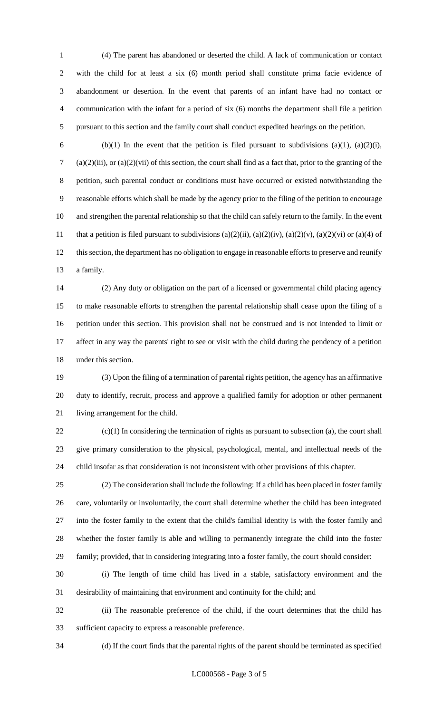(4) The parent has abandoned or deserted the child. A lack of communication or contact with the child for at least a six (6) month period shall constitute prima facie evidence of abandonment or desertion. In the event that parents of an infant have had no contact or communication with the infant for a period of six (6) months the department shall file a petition pursuant to this section and the family court shall conduct expedited hearings on the petition.

6 (b)(1) In the event that the petition is filed pursuant to subdivisions (a)(1), (a)(2)(i), (a)(2)(iii), or (a)(2)(vii) of this section, the court shall find as a fact that, prior to the granting of the petition, such parental conduct or conditions must have occurred or existed notwithstanding the reasonable efforts which shall be made by the agency prior to the filing of the petition to encourage and strengthen the parental relationship so that the child can safely return to the family. In the event 11 that a petition is filed pursuant to subdivisions  $(a)(2)(ii)$ ,  $(a)(2)(iv)$ ,  $(a)(2)(v)$ ,  $(a)(2)(vi)$  or  $(a)(4)$  of this section, the department has no obligation to engage in reasonable efforts to preserve and reunify a family.

 (2) Any duty or obligation on the part of a licensed or governmental child placing agency to make reasonable efforts to strengthen the parental relationship shall cease upon the filing of a petition under this section. This provision shall not be construed and is not intended to limit or affect in any way the parents' right to see or visit with the child during the pendency of a petition under this section.

 (3) Upon the filing of a termination of parental rights petition, the agency has an affirmative duty to identify, recruit, process and approve a qualified family for adoption or other permanent living arrangement for the child.

 (c)(1) In considering the termination of rights as pursuant to subsection (a), the court shall give primary consideration to the physical, psychological, mental, and intellectual needs of the child insofar as that consideration is not inconsistent with other provisions of this chapter.

 (2) The consideration shall include the following: If a child has been placed in foster family care, voluntarily or involuntarily, the court shall determine whether the child has been integrated into the foster family to the extent that the child's familial identity is with the foster family and whether the foster family is able and willing to permanently integrate the child into the foster family; provided, that in considering integrating into a foster family, the court should consider:

 (i) The length of time child has lived in a stable, satisfactory environment and the desirability of maintaining that environment and continuity for the child; and

 (ii) The reasonable preference of the child, if the court determines that the child has sufficient capacity to express a reasonable preference.

(d) If the court finds that the parental rights of the parent should be terminated as specified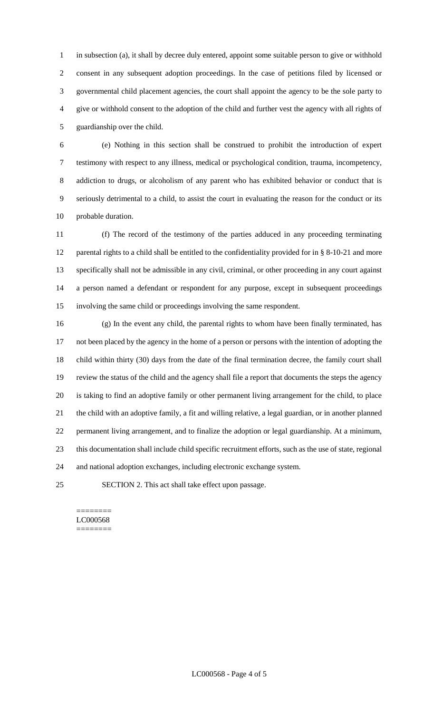in subsection (a), it shall by decree duly entered, appoint some suitable person to give or withhold consent in any subsequent adoption proceedings. In the case of petitions filed by licensed or governmental child placement agencies, the court shall appoint the agency to be the sole party to give or withhold consent to the adoption of the child and further vest the agency with all rights of guardianship over the child.

 (e) Nothing in this section shall be construed to prohibit the introduction of expert testimony with respect to any illness, medical or psychological condition, trauma, incompetency, addiction to drugs, or alcoholism of any parent who has exhibited behavior or conduct that is seriously detrimental to a child, to assist the court in evaluating the reason for the conduct or its probable duration.

 (f) The record of the testimony of the parties adduced in any proceeding terminating 12 parental rights to a child shall be entitled to the confidentiality provided for in § 8-10-21 and more specifically shall not be admissible in any civil, criminal, or other proceeding in any court against a person named a defendant or respondent for any purpose, except in subsequent proceedings involving the same child or proceedings involving the same respondent.

 (g) In the event any child, the parental rights to whom have been finally terminated, has not been placed by the agency in the home of a person or persons with the intention of adopting the child within thirty (30) days from the date of the final termination decree, the family court shall review the status of the child and the agency shall file a report that documents the steps the agency is taking to find an adoptive family or other permanent living arrangement for the child, to place the child with an adoptive family, a fit and willing relative, a legal guardian, or in another planned permanent living arrangement, and to finalize the adoption or legal guardianship. At a minimum, this documentation shall include child specific recruitment efforts, such as the use of state, regional and national adoption exchanges, including electronic exchange system.

SECTION 2. This act shall take effect upon passage.

======== LC000568 ========